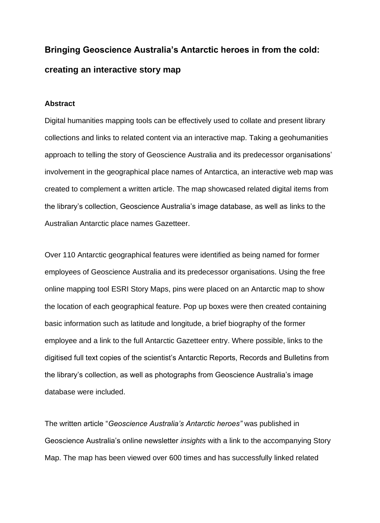# **Bringing Geoscience Australia's Antarctic heroes in from the cold: creating an interactive story map**

## **Abstract**

Digital humanities mapping tools can be effectively used to collate and present library collections and links to related content via an interactive map. Taking a geohumanities approach to telling the story of Geoscience Australia and its predecessor organisations' involvement in the geographical place names of Antarctica, an interactive web map was created to complement a written article. The map showcased related digital items from the library's collection, Geoscience Australia's image database, as well as links to the Australian Antarctic place names Gazetteer.

Over 110 Antarctic geographical features were identified as being named for former employees of Geoscience Australia and its predecessor organisations. Using the free online mapping tool ESRI Story Maps, pins were placed on an Antarctic map to show the location of each geographical feature. Pop up boxes were then created containing basic information such as latitude and longitude, a brief biography of the former employee and a link to the full Antarctic Gazetteer entry. Where possible, links to the digitised full text copies of the scientist's Antarctic Reports, Records and Bulletins from the library's collection, as well as photographs from Geoscience Australia's image database were included.

The written article "*Geoscience Australia's Antarctic heroes"* was published in Geoscience Australia's online newsletter *insights* with a link to the accompanying Story Map. The map has been viewed over 600 times and has successfully linked related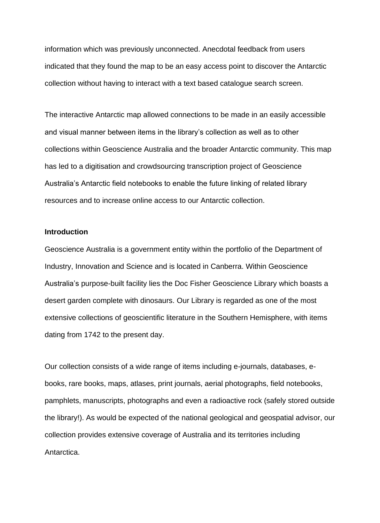information which was previously unconnected. Anecdotal feedback from users indicated that they found the map to be an easy access point to discover the Antarctic collection without having to interact with a text based catalogue search screen.

The interactive Antarctic map allowed connections to be made in an easily accessible and visual manner between items in the library's collection as well as to other collections within Geoscience Australia and the broader Antarctic community. This map has led to a digitisation and crowdsourcing transcription project of Geoscience Australia's Antarctic field notebooks to enable the future linking of related library resources and to increase online access to our Antarctic collection.

#### **Introduction**

Geoscience Australia is a government entity within the portfolio of the Department of Industry, Innovation and Science and is located in Canberra. Within Geoscience Australia's purpose-built facility lies the Doc Fisher Geoscience Library which boasts a desert garden complete with dinosaurs. Our Library is regarded as one of the most extensive collections of geoscientific literature in the Southern Hemisphere, with items dating from 1742 to the present day.

Our collection consists of a wide range of items including e-journals, databases, ebooks, rare books, maps, atlases, print journals, aerial photographs, field notebooks, pamphlets, manuscripts, photographs and even a radioactive rock (safely stored outside the library!). As would be expected of the national geological and geospatial advisor, our collection provides extensive coverage of Australia and its territories including Antarctica.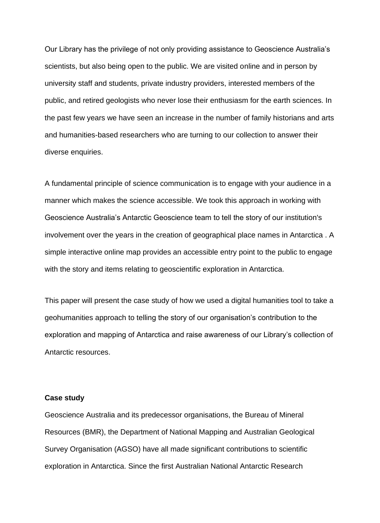Our Library has the privilege of not only providing assistance to Geoscience Australia's scientists, but also being open to the public. We are visited online and in person by university staff and students, private industry providers, interested members of the public, and retired geologists who never lose their enthusiasm for the earth sciences. In the past few years we have seen an increase in the number of family historians and arts and humanities-based researchers who are turning to our collection to answer their diverse enquiries.

A fundamental principle of science communication is to engage with your audience in a manner which makes the science accessible. We took this approach in working with Geoscience Australia's Antarctic Geoscience team to tell the story of our institution's involvement over the years in the creation of geographical place names in Antarctica . A simple interactive online map provides an accessible entry point to the public to engage with the story and items relating to geoscientific exploration in Antarctica.

This paper will present the case study of how we used a digital humanities tool to take a geohumanities approach to telling the story of our organisation's contribution to the exploration and mapping of Antarctica and raise awareness of our Library's collection of Antarctic resources.

### **Case study**

Geoscience Australia and its predecessor organisations, the Bureau of Mineral Resources (BMR), the Department of National Mapping and Australian Geological Survey Organisation (AGSO) have all made significant contributions to scientific exploration in Antarctica. Since the first Australian National Antarctic Research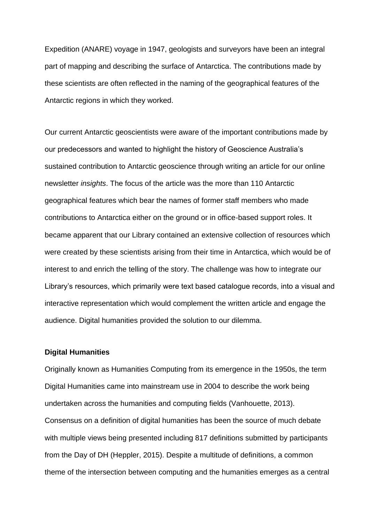Expedition (ANARE) voyage in 1947, geologists and surveyors have been an integral part of mapping and describing the surface of Antarctica. The contributions made by these scientists are often reflected in the naming of the geographical features of the Antarctic regions in which they worked.

Our current Antarctic geoscientists were aware of the important contributions made by our predecessors and wanted to highlight the history of Geoscience Australia's sustained contribution to Antarctic geoscience through writing an article for our online newsletter *insights*. The focus of the article was the more than 110 Antarctic geographical features which bear the names of former staff members who made contributions to Antarctica either on the ground or in office-based support roles. It became apparent that our Library contained an extensive collection of resources which were created by these scientists arising from their time in Antarctica, which would be of interest to and enrich the telling of the story. The challenge was how to integrate our Library's resources, which primarily were text based catalogue records, into a visual and interactive representation which would complement the written article and engage the audience. Digital humanities provided the solution to our dilemma.

## **Digital Humanities**

Originally known as Humanities Computing from its emergence in the 1950s, the term Digital Humanities came into mainstream use in 2004 to describe the work being undertaken across the humanities and computing fields (Vanhouette, 2013). Consensus on a definition of digital humanities has been the source of much debate with multiple views being presented including 817 definitions submitted by participants from the Day of DH (Heppler, 2015). Despite a multitude of definitions, a common theme of the intersection between computing and the humanities emerges as a central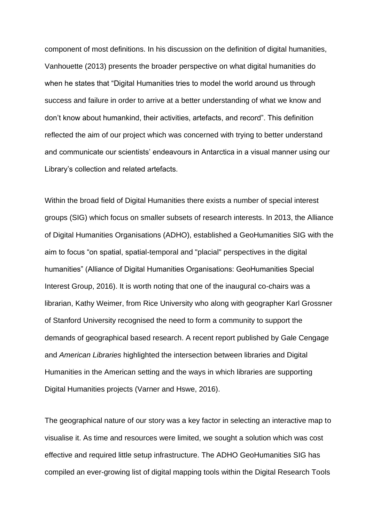component of most definitions. In his discussion on the definition of digital humanities, Vanhouette (2013) presents the broader perspective on what digital humanities do when he states that "Digital Humanities tries to model the world around us through success and failure in order to arrive at a better understanding of what we know and don't know about humankind, their activities, artefacts, and record". This definition reflected the aim of our project which was concerned with trying to better understand and communicate our scientists' endeavours in Antarctica in a visual manner using our Library's collection and related artefacts.

Within the broad field of Digital Humanities there exists a number of special interest groups (SIG) which focus on smaller subsets of research interests. In 2013, the Alliance of Digital Humanities Organisations (ADHO), established a GeoHumanities SIG with the aim to focus "on spatial, spatial-temporal and "placial" perspectives in the digital humanities" (Alliance of Digital Humanities Organisations: GeoHumanities Special Interest Group, 2016). It is worth noting that one of the inaugural co-chairs was a librarian, Kathy Weimer, from Rice University who along with geographer Karl Grossner of Stanford University recognised the need to form a community to support the demands of geographical based research. A recent report published by Gale Cengage and *American Libraries* highlighted the intersection between libraries and Digital Humanities in the American setting and the ways in which libraries are supporting Digital Humanities projects (Varner and Hswe, 2016).

The geographical nature of our story was a key factor in selecting an interactive map to visualise it. As time and resources were limited, we sought a solution which was cost effective and required little setup infrastructure. The ADHO GeoHumanities SIG has compiled an ever-growing list of digital mapping tools within the Digital Research Tools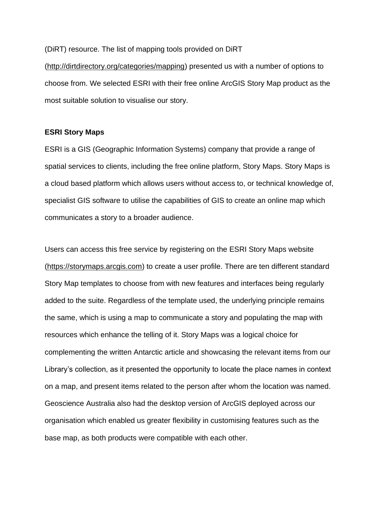(DiRT) resource. The list of mapping tools provided on DiRT

[\(http://dirtdirectory.org/categories/mapping\)](http://dirtdirectory.org/categories/mapping) presented us with a number of options to choose from. We selected ESRI with their free online ArcGIS Story Map product as the most suitable solution to visualise our story.

#### **ESRI Story Maps**

ESRI is a GIS (Geographic Information Systems) company that provide a range of spatial services to clients, including the free online platform, Story Maps. Story Maps is a cloud based platform which allows users without access to, or technical knowledge of, specialist GIS software to utilise the capabilities of GIS to create an online map which communicates a story to a broader audience.

Users can access this free service by registering on the ESRI Story Maps website [\(https://storymaps.arcgis.com\)](https://storymaps.arcgis.com/) to create a user profile. There are ten different standard Story Map templates to choose from with new features and interfaces being regularly added to the suite. Regardless of the template used, the underlying principle remains the same, which is using a map to communicate a story and populating the map with resources which enhance the telling of it. Story Maps was a logical choice for complementing the written Antarctic article and showcasing the relevant items from our Library's collection, as it presented the opportunity to locate the place names in context on a map, and present items related to the person after whom the location was named. Geoscience Australia also had the desktop version of ArcGIS deployed across our organisation which enabled us greater flexibility in customising features such as the base map, as both products were compatible with each other.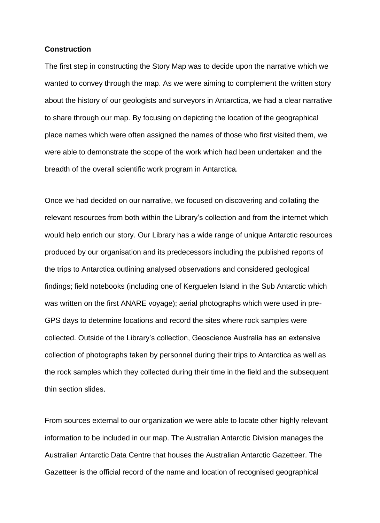#### **Construction**

The first step in constructing the Story Map was to decide upon the narrative which we wanted to convey through the map. As we were aiming to complement the written story about the history of our geologists and surveyors in Antarctica, we had a clear narrative to share through our map. By focusing on depicting the location of the geographical place names which were often assigned the names of those who first visited them, we were able to demonstrate the scope of the work which had been undertaken and the breadth of the overall scientific work program in Antarctica.

Once we had decided on our narrative, we focused on discovering and collating the relevant resources from both within the Library's collection and from the internet which would help enrich our story. Our Library has a wide range of unique Antarctic resources produced by our organisation and its predecessors including the published reports of the trips to Antarctica outlining analysed observations and considered geological findings; field notebooks (including one of Kerguelen Island in the Sub Antarctic which was written on the first ANARE voyage); aerial photographs which were used in pre-GPS days to determine locations and record the sites where rock samples were collected. Outside of the Library's collection, Geoscience Australia has an extensive collection of photographs taken by personnel during their trips to Antarctica as well as the rock samples which they collected during their time in the field and the subsequent thin section slides.

From sources external to our organization we were able to locate other highly relevant information to be included in our map. The Australian Antarctic Division manages the Australian Antarctic Data Centre that houses the Australian Antarctic Gazetteer. The Gazetteer is the official record of the name and location of recognised geographical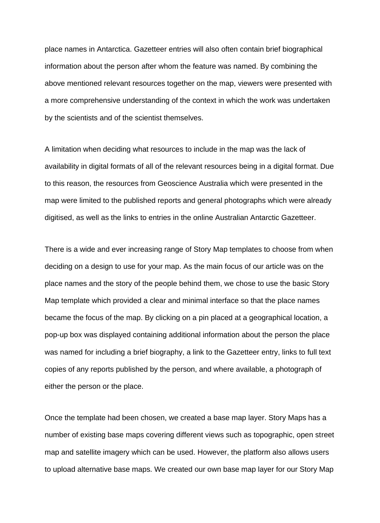place names in Antarctica. Gazetteer entries will also often contain brief biographical information about the person after whom the feature was named. By combining the above mentioned relevant resources together on the map, viewers were presented with a more comprehensive understanding of the context in which the work was undertaken by the scientists and of the scientist themselves.

A limitation when deciding what resources to include in the map was the lack of availability in digital formats of all of the relevant resources being in a digital format. Due to this reason, the resources from Geoscience Australia which were presented in the map were limited to the published reports and general photographs which were already digitised, as well as the links to entries in the online Australian Antarctic Gazetteer.

There is a wide and ever increasing range of Story Map templates to choose from when deciding on a design to use for your map. As the main focus of our article was on the place names and the story of the people behind them, we chose to use the basic Story Map template which provided a clear and minimal interface so that the place names became the focus of the map. By clicking on a pin placed at a geographical location, a pop-up box was displayed containing additional information about the person the place was named for including a brief biography, a link to the Gazetteer entry, links to full text copies of any reports published by the person, and where available, a photograph of either the person or the place.

Once the template had been chosen, we created a base map layer. Story Maps has a number of existing base maps covering different views such as topographic, open street map and satellite imagery which can be used. However, the platform also allows users to upload alternative base maps. We created our own base map layer for our Story Map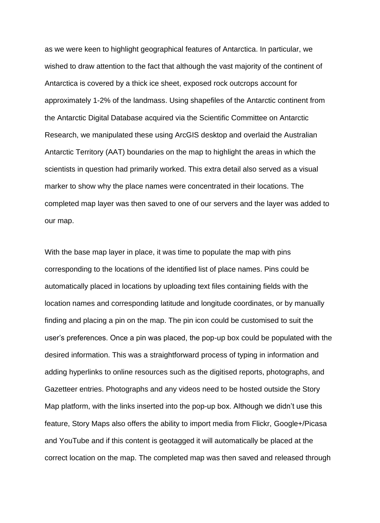as we were keen to highlight geographical features of Antarctica. In particular, we wished to draw attention to the fact that although the vast majority of the continent of Antarctica is covered by a thick ice sheet, exposed rock outcrops account for approximately 1-2% of the landmass. Using shapefiles of the Antarctic continent from the Antarctic Digital Database acquired via the Scientific Committee on Antarctic Research, we manipulated these using ArcGIS desktop and overlaid the Australian Antarctic Territory (AAT) boundaries on the map to highlight the areas in which the scientists in question had primarily worked. This extra detail also served as a visual marker to show why the place names were concentrated in their locations. The completed map layer was then saved to one of our servers and the layer was added to our map.

With the base map layer in place, it was time to populate the map with pins corresponding to the locations of the identified list of place names. Pins could be automatically placed in locations by uploading text files containing fields with the location names and corresponding latitude and longitude coordinates, or by manually finding and placing a pin on the map. The pin icon could be customised to suit the user's preferences. Once a pin was placed, the pop-up box could be populated with the desired information. This was a straightforward process of typing in information and adding hyperlinks to online resources such as the digitised reports, photographs, and Gazetteer entries. Photographs and any videos need to be hosted outside the Story Map platform, with the links inserted into the pop-up box. Although we didn't use this feature, Story Maps also offers the ability to import media from Flickr, Google+/Picasa and YouTube and if this content is geotagged it will automatically be placed at the correct location on the map. The completed map was then saved and released through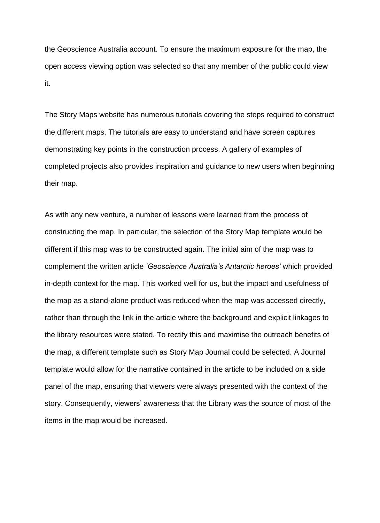the Geoscience Australia account. To ensure the maximum exposure for the map, the open access viewing option was selected so that any member of the public could view it.

The Story Maps website has numerous tutorials covering the steps required to construct the different maps. The tutorials are easy to understand and have screen captures demonstrating key points in the construction process. A gallery of examples of completed projects also provides inspiration and guidance to new users when beginning their map.

As with any new venture, a number of lessons were learned from the process of constructing the map. In particular, the selection of the Story Map template would be different if this map was to be constructed again. The initial aim of the map was to complement the written article *'Geoscience Australia's Antarctic heroes'* which provided in-depth context for the map. This worked well for us, but the impact and usefulness of the map as a stand-alone product was reduced when the map was accessed directly, rather than through the link in the article where the background and explicit linkages to the library resources were stated. To rectify this and maximise the outreach benefits of the map, a different template such as Story Map Journal could be selected. A Journal template would allow for the narrative contained in the article to be included on a side panel of the map, ensuring that viewers were always presented with the context of the story. Consequently, viewers' awareness that the Library was the source of most of the items in the map would be increased.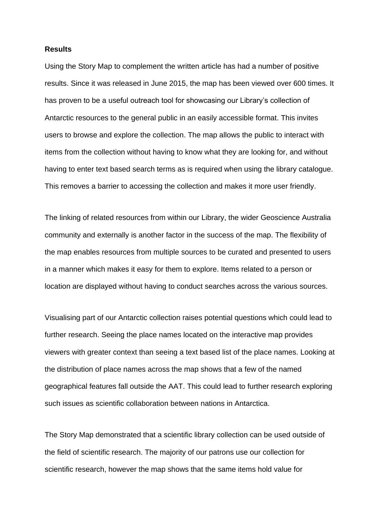#### **Results**

Using the Story Map to complement the written article has had a number of positive results. Since it was released in June 2015, the map has been viewed over 600 times. It has proven to be a useful outreach tool for showcasing our Library's collection of Antarctic resources to the general public in an easily accessible format. This invites users to browse and explore the collection. The map allows the public to interact with items from the collection without having to know what they are looking for, and without having to enter text based search terms as is required when using the library catalogue. This removes a barrier to accessing the collection and makes it more user friendly.

The linking of related resources from within our Library, the wider Geoscience Australia community and externally is another factor in the success of the map. The flexibility of the map enables resources from multiple sources to be curated and presented to users in a manner which makes it easy for them to explore. Items related to a person or location are displayed without having to conduct searches across the various sources.

Visualising part of our Antarctic collection raises potential questions which could lead to further research. Seeing the place names located on the interactive map provides viewers with greater context than seeing a text based list of the place names. Looking at the distribution of place names across the map shows that a few of the named geographical features fall outside the AAT. This could lead to further research exploring such issues as scientific collaboration between nations in Antarctica.

The Story Map demonstrated that a scientific library collection can be used outside of the field of scientific research. The majority of our patrons use our collection for scientific research, however the map shows that the same items hold value for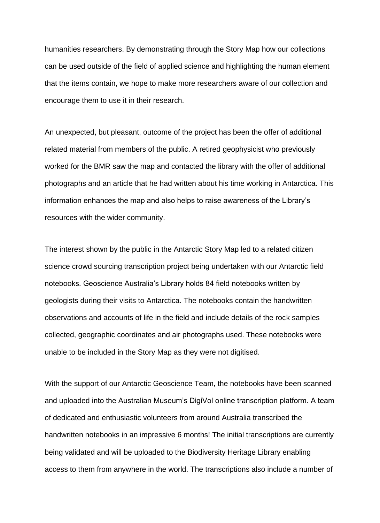humanities researchers. By demonstrating through the Story Map how our collections can be used outside of the field of applied science and highlighting the human element that the items contain, we hope to make more researchers aware of our collection and encourage them to use it in their research.

An unexpected, but pleasant, outcome of the project has been the offer of additional related material from members of the public. A retired geophysicist who previously worked for the BMR saw the map and contacted the library with the offer of additional photographs and an article that he had written about his time working in Antarctica. This information enhances the map and also helps to raise awareness of the Library's resources with the wider community.

The interest shown by the public in the Antarctic Story Map led to a related citizen science crowd sourcing transcription project being undertaken with our Antarctic field notebooks. Geoscience Australia's Library holds 84 field notebooks written by geologists during their visits to Antarctica. The notebooks contain the handwritten observations and accounts of life in the field and include details of the rock samples collected, geographic coordinates and air photographs used. These notebooks were unable to be included in the Story Map as they were not digitised.

With the support of our Antarctic Geoscience Team, the notebooks have been scanned and uploaded into the Australian Museum's DigiVol online transcription platform. A team of dedicated and enthusiastic volunteers from around Australia transcribed the handwritten notebooks in an impressive 6 months! The initial transcriptions are currently being validated and will be uploaded to the Biodiversity Heritage Library enabling access to them from anywhere in the world. The transcriptions also include a number of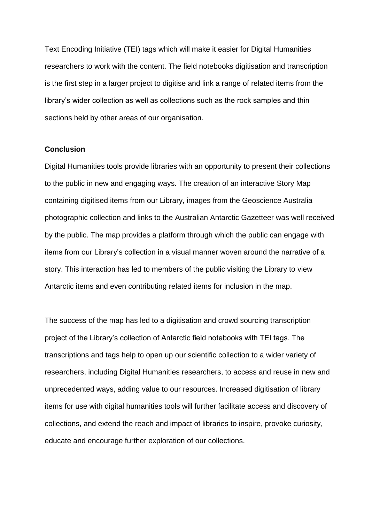Text Encoding Initiative (TEI) tags which will make it easier for Digital Humanities researchers to work with the content. The field notebooks digitisation and transcription is the first step in a larger project to digitise and link a range of related items from the library's wider collection as well as collections such as the rock samples and thin sections held by other areas of our organisation.

## **Conclusion**

Digital Humanities tools provide libraries with an opportunity to present their collections to the public in new and engaging ways. The creation of an interactive Story Map containing digitised items from our Library, images from the Geoscience Australia photographic collection and links to the Australian Antarctic Gazetteer was well received by the public. The map provides a platform through which the public can engage with items from our Library's collection in a visual manner woven around the narrative of a story. This interaction has led to members of the public visiting the Library to view Antarctic items and even contributing related items for inclusion in the map.

The success of the map has led to a digitisation and crowd sourcing transcription project of the Library's collection of Antarctic field notebooks with TEI tags. The transcriptions and tags help to open up our scientific collection to a wider variety of researchers, including Digital Humanities researchers, to access and reuse in new and unprecedented ways, adding value to our resources. Increased digitisation of library items for use with digital humanities tools will further facilitate access and discovery of collections, and extend the reach and impact of libraries to inspire, provoke curiosity, educate and encourage further exploration of our collections.